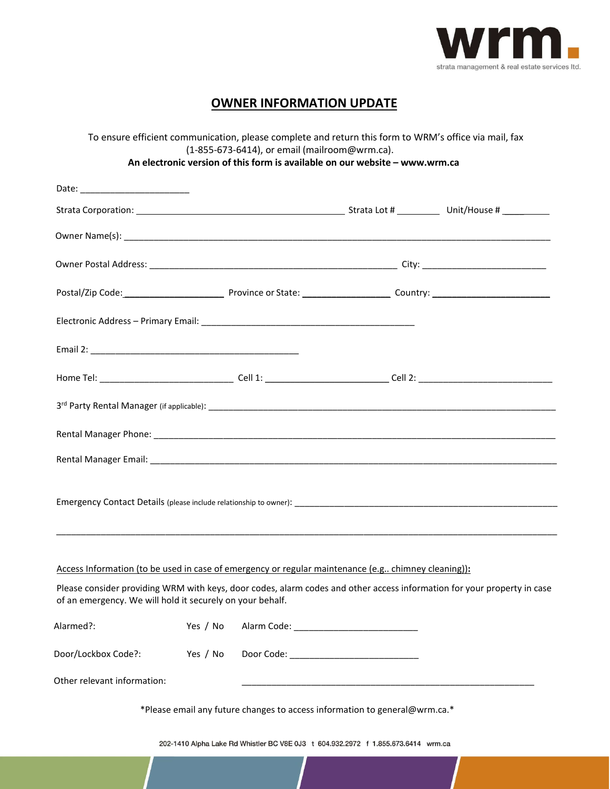

## **OWNER INFORMATION UPDATE**

| To ensure efficient communication, please complete and return this form to WRM's office via mail, fax<br>(1-855-673-6414), or email (mailroom@wrm.ca).<br>An electronic version of this form is available on our website - www.wrm.ca |          |  |  |                                                                                                                         |  |
|---------------------------------------------------------------------------------------------------------------------------------------------------------------------------------------------------------------------------------------|----------|--|--|-------------------------------------------------------------------------------------------------------------------------|--|
|                                                                                                                                                                                                                                       |          |  |  |                                                                                                                         |  |
|                                                                                                                                                                                                                                       |          |  |  |                                                                                                                         |  |
|                                                                                                                                                                                                                                       |          |  |  |                                                                                                                         |  |
|                                                                                                                                                                                                                                       |          |  |  |                                                                                                                         |  |
|                                                                                                                                                                                                                                       |          |  |  |                                                                                                                         |  |
|                                                                                                                                                                                                                                       |          |  |  |                                                                                                                         |  |
|                                                                                                                                                                                                                                       |          |  |  |                                                                                                                         |  |
|                                                                                                                                                                                                                                       |          |  |  |                                                                                                                         |  |
|                                                                                                                                                                                                                                       |          |  |  |                                                                                                                         |  |
|                                                                                                                                                                                                                                       |          |  |  |                                                                                                                         |  |
|                                                                                                                                                                                                                                       |          |  |  |                                                                                                                         |  |
|                                                                                                                                                                                                                                       |          |  |  |                                                                                                                         |  |
|                                                                                                                                                                                                                                       |          |  |  |                                                                                                                         |  |
|                                                                                                                                                                                                                                       |          |  |  |                                                                                                                         |  |
| Access Information (to be used in case of emergency or regular maintenance (e.g chimney cleaning)):                                                                                                                                   |          |  |  |                                                                                                                         |  |
| of an emergency. We will hold it securely on your behalf.                                                                                                                                                                             |          |  |  | Please consider providing WRM with keys, door codes, alarm codes and other access information for your property in case |  |
| Alarmed?:                                                                                                                                                                                                                             | Yes / No |  |  |                                                                                                                         |  |
| Door/Lockbox Code?:                                                                                                                                                                                                                   | Yes / No |  |  |                                                                                                                         |  |
| Other relevant information:                                                                                                                                                                                                           |          |  |  |                                                                                                                         |  |
| *Please email any future changes to access information to general@wrm.ca.*                                                                                                                                                            |          |  |  |                                                                                                                         |  |
| 202-1410 Alpha Lake Rd Whistler BC V8E 0J3 t 604.932.2972 f 1.855.673.6414 wrm.ca                                                                                                                                                     |          |  |  |                                                                                                                         |  |